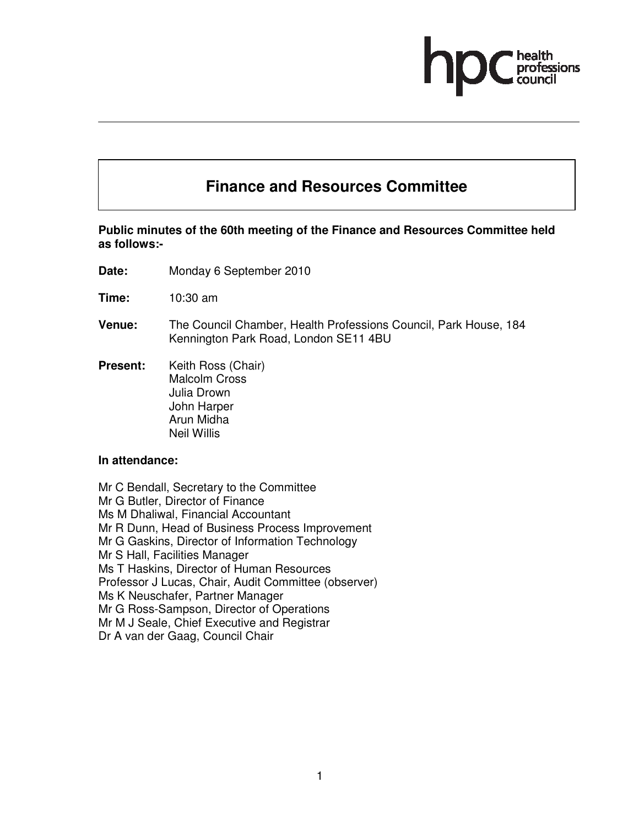# **Finance and Resources Committee**

**Public minutes of the 60th meeting of the Finance and Resources Committee held as follows:-** 

- **Date:** Monday 6 September 2010
- **Time:** 10:30 am
- **Venue:** The Council Chamber, Health Professions Council, Park House, 184 Kennington Park Road, London SE11 4BU
- **Present:** Keith Ross (Chair) Malcolm Cross Julia Drown John Harper Arun Midha Neil Willis

#### **In attendance:**

Mr C Bendall, Secretary to the Committee Mr G Butler, Director of Finance Ms M Dhaliwal, Financial Accountant Mr R Dunn, Head of Business Process Improvement Mr G Gaskins, Director of Information Technology Mr S Hall, Facilities Manager Ms T Haskins, Director of Human Resources Professor J Lucas, Chair, Audit Committee (observer) Ms K Neuschafer, Partner Manager Mr G Ross-Sampson, Director of Operations Mr M J Seale, Chief Executive and Registrar Dr A van der Gaag, Council Chair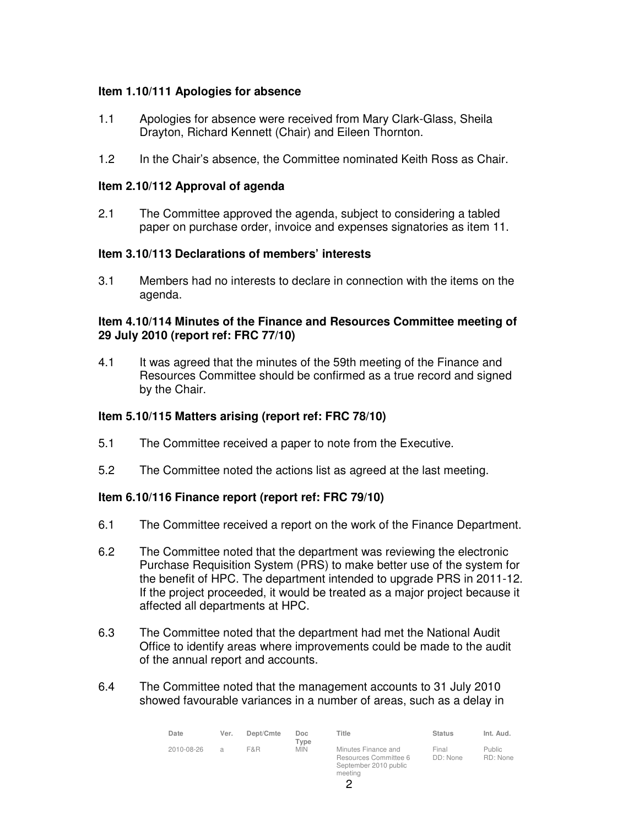# **Item 1.10/111 Apologies for absence**

- 1.1 Apologies for absence were received from Mary Clark-Glass, Sheila Drayton, Richard Kennett (Chair) and Eileen Thornton.
- 1.2 In the Chair's absence, the Committee nominated Keith Ross as Chair.

### **Item 2.10/112 Approval of agenda**

2.1 The Committee approved the agenda, subject to considering a tabled paper on purchase order, invoice and expenses signatories as item 11.

### **Item 3.10/113 Declarations of members' interests**

3.1 Members had no interests to declare in connection with the items on the agenda.

### **Item 4.10/114 Minutes of the Finance and Resources Committee meeting of 29 July 2010 (report ref: FRC 77/10)**

4.1 It was agreed that the minutes of the 59th meeting of the Finance and Resources Committee should be confirmed as a true record and signed by the Chair.

## **Item 5.10/115 Matters arising (report ref: FRC 78/10)**

- 5.1 The Committee received a paper to note from the Executive.
- 5.2 The Committee noted the actions list as agreed at the last meeting.

#### **Item 6.10/116 Finance report (report ref: FRC 79/10)**

- 6.1 The Committee received a report on the work of the Finance Department.
- 6.2 The Committee noted that the department was reviewing the electronic Purchase Requisition System (PRS) to make better use of the system for the benefit of HPC. The department intended to upgrade PRS in 2011-12. If the project proceeded, it would be treated as a major project because it affected all departments at HPC.
- 6.3 The Committee noted that the department had met the National Audit Office to identify areas where improvements could be made to the audit of the annual report and accounts.
- 6.4 The Committee noted that the management accounts to 31 July 2010 showed favourable variances in a number of areas, such as a delay in

| Date       | Ver.           | Dept/Cmte | Doc<br>Tvpe | Title                                                                            | <b>Status</b>     | Int. Aud.                 |
|------------|----------------|-----------|-------------|----------------------------------------------------------------------------------|-------------------|---------------------------|
| 2010-08-26 | $\overline{a}$ | F&R       | <b>MIN</b>  | Minutes Finance and<br>Resources Committee 6<br>September 2010 public<br>meeting | Final<br>DD: None | <b>Public</b><br>RD: None |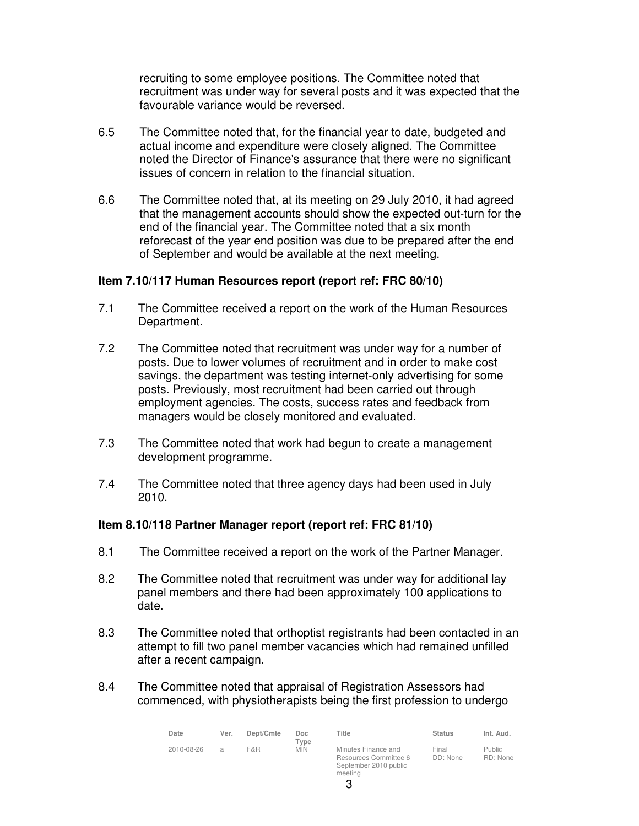recruiting to some employee positions. The Committee noted that recruitment was under way for several posts and it was expected that the favourable variance would be reversed.

- 6.5 The Committee noted that, for the financial year to date, budgeted and actual income and expenditure were closely aligned. The Committee noted the Director of Finance's assurance that there were no significant issues of concern in relation to the financial situation.
- 6.6 The Committee noted that, at its meeting on 29 July 2010, it had agreed that the management accounts should show the expected out-turn for the end of the financial year. The Committee noted that a six month reforecast of the year end position was due to be prepared after the end of September and would be available at the next meeting.

### **Item 7.10/117 Human Resources report (report ref: FRC 80/10)**

- 7.1 The Committee received a report on the work of the Human Resources Department.
- 7.2 The Committee noted that recruitment was under way for a number of posts. Due to lower volumes of recruitment and in order to make cost savings, the department was testing internet-only advertising for some posts. Previously, most recruitment had been carried out through employment agencies. The costs, success rates and feedback from managers would be closely monitored and evaluated.
- 7.3 The Committee noted that work had begun to create a management development programme.
- 7.4 The Committee noted that three agency days had been used in July 2010.

#### **Item 8.10/118 Partner Manager report (report ref: FRC 81/10)**

- 8.1 The Committee received a report on the work of the Partner Manager.
- 8.2 The Committee noted that recruitment was under way for additional lay panel members and there had been approximately 100 applications to date.
- 8.3 The Committee noted that orthoptist registrants had been contacted in an attempt to fill two panel member vacancies which had remained unfilled after a recent campaign.
- 8.4 The Committee noted that appraisal of Registration Assessors had commenced, with physiotherapists being the first profession to undergo

| Date       | Ver.          | Dept/Cmte | Doc<br>Type | Title                                                                            | <b>Status</b>     | Int. Aud.                 |
|------------|---------------|-----------|-------------|----------------------------------------------------------------------------------|-------------------|---------------------------|
| 2010-08-26 | $\mathcal{A}$ | F&R       | <b>MIN</b>  | Minutes Finance and<br>Resources Committee 6<br>September 2010 public<br>meeting | Final<br>DD: None | <b>Public</b><br>RD: None |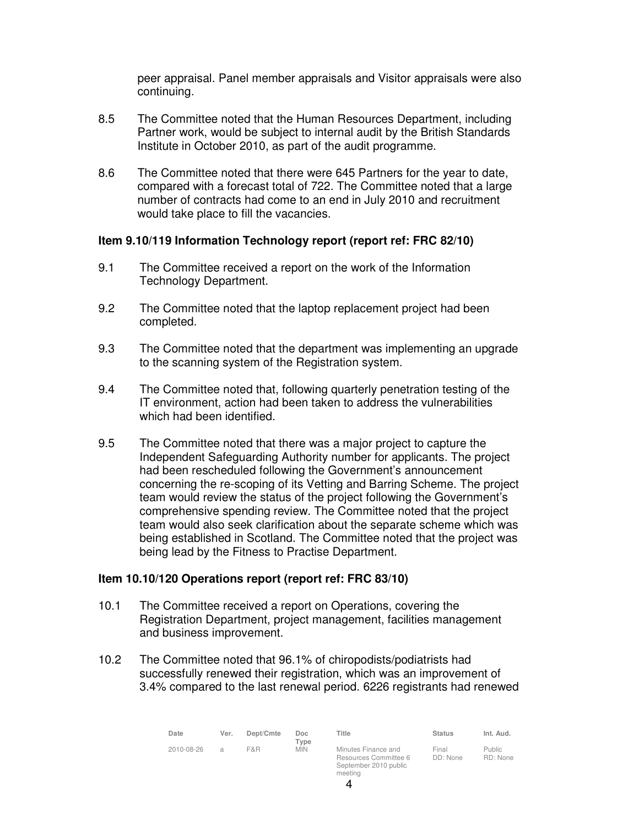peer appraisal. Panel member appraisals and Visitor appraisals were also continuing.

- 8.5 The Committee noted that the Human Resources Department, including Partner work, would be subject to internal audit by the British Standards Institute in October 2010, as part of the audit programme.
- 8.6 The Committee noted that there were 645 Partners for the year to date, compared with a forecast total of 722. The Committee noted that a large number of contracts had come to an end in July 2010 and recruitment would take place to fill the vacancies.

### **Item 9.10/119 Information Technology report (report ref: FRC 82/10)**

- 9.1 The Committee received a report on the work of the Information Technology Department.
- 9.2 The Committee noted that the laptop replacement project had been completed.
- 9.3 The Committee noted that the department was implementing an upgrade to the scanning system of the Registration system.
- 9.4 The Committee noted that, following quarterly penetration testing of the IT environment, action had been taken to address the vulnerabilities which had been identified.
- 9.5 The Committee noted that there was a major project to capture the Independent Safeguarding Authority number for applicants. The project had been rescheduled following the Government's announcement concerning the re-scoping of its Vetting and Barring Scheme. The project team would review the status of the project following the Government's comprehensive spending review. The Committee noted that the project team would also seek clarification about the separate scheme which was being established in Scotland. The Committee noted that the project was being lead by the Fitness to Practise Department.

#### **Item 10.10/120 Operations report (report ref: FRC 83/10)**

- 10.1 The Committee received a report on Operations, covering the Registration Department, project management, facilities management and business improvement.
- 10.2 The Committee noted that 96.1% of chiropodists/podiatrists had successfully renewed their registration, which was an improvement of 3.4% compared to the last renewal period. 6226 registrants had renewed

| Date       | Ver. | Dept/Cmte | Doc<br>Type | Title                                                                            | <b>Status</b>     | Int. Aud.                 |
|------------|------|-----------|-------------|----------------------------------------------------------------------------------|-------------------|---------------------------|
| 2010-08-26 | a    | F&R       | <b>MIN</b>  | Minutes Finance and<br>Resources Committee 6<br>September 2010 public<br>meeting | Final<br>DD: None | <b>Public</b><br>RD: None |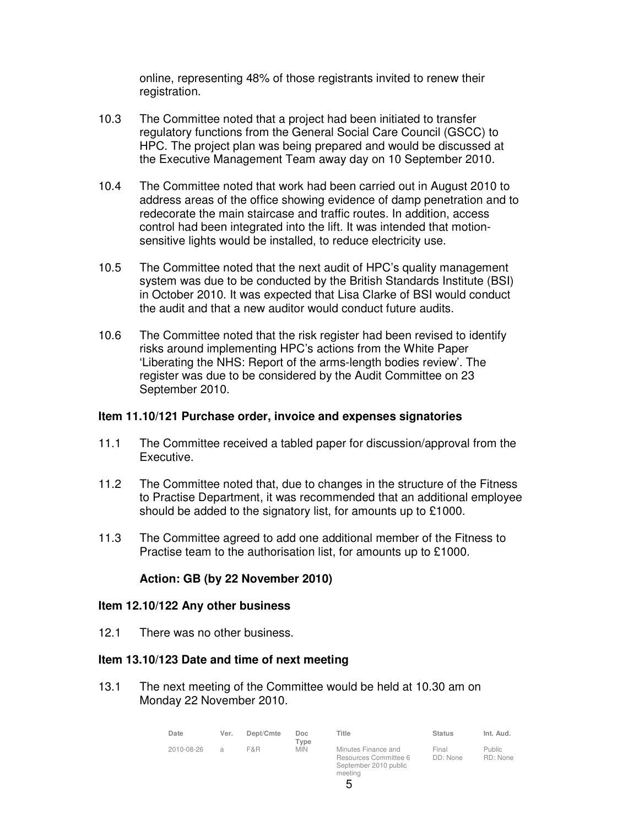online, representing 48% of those registrants invited to renew their registration.

- 10.3 The Committee noted that a project had been initiated to transfer regulatory functions from the General Social Care Council (GSCC) to HPC. The project plan was being prepared and would be discussed at the Executive Management Team away day on 10 September 2010.
- 10.4 The Committee noted that work had been carried out in August 2010 to address areas of the office showing evidence of damp penetration and to redecorate the main staircase and traffic routes. In addition, access control had been integrated into the lift. It was intended that motionsensitive lights would be installed, to reduce electricity use.
- 10.5 The Committee noted that the next audit of HPC's quality management system was due to be conducted by the British Standards Institute (BSI) in October 2010. It was expected that Lisa Clarke of BSI would conduct the audit and that a new auditor would conduct future audits.
- 10.6 The Committee noted that the risk register had been revised to identify risks around implementing HPC's actions from the White Paper 'Liberating the NHS: Report of the arms-length bodies review'. The register was due to be considered by the Audit Committee on 23 September 2010.

#### **Item 11.10/121 Purchase order, invoice and expenses signatories**

- 11.1 The Committee received a tabled paper for discussion/approval from the Executive.
- 11.2 The Committee noted that, due to changes in the structure of the Fitness to Practise Department, it was recommended that an additional employee should be added to the signatory list, for amounts up to £1000.
- 11.3 The Committee agreed to add one additional member of the Fitness to Practise team to the authorisation list, for amounts up to £1000.

#### **Action: GB (by 22 November 2010)**

#### **Item 12.10/122 Any other business**

12.1 There was no other business.

#### **Item 13.10/123 Date and time of next meeting**

13.1 The next meeting of the Committee would be held at 10.30 am on Monday 22 November 2010.

| Date       | Ver.          | Dept/Cmte | Doc<br>Type | Title                                                                            | <b>Status</b>     | Int. Aud.                 |
|------------|---------------|-----------|-------------|----------------------------------------------------------------------------------|-------------------|---------------------------|
| 2010-08-26 | $\mathcal{A}$ | F&R.      | <b>MIN</b>  | Minutes Finance and<br>Resources Committee 6<br>September 2010 public<br>meeting | Final<br>DD: None | <b>Public</b><br>RD: None |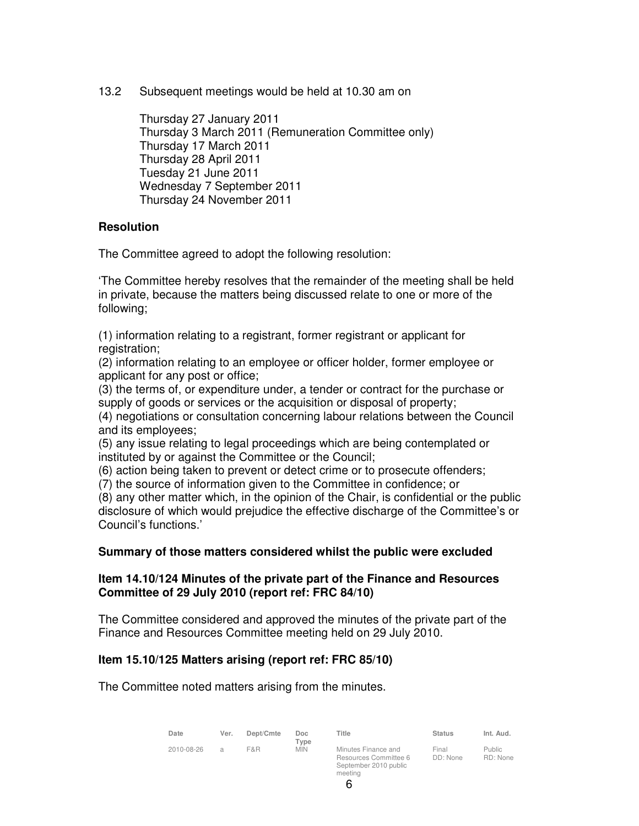13.2 Subsequent meetings would be held at 10.30 am on

Thursday 27 January 2011 Thursday 3 March 2011 (Remuneration Committee only) Thursday 17 March 2011 Thursday 28 April 2011 Tuesday 21 June 2011 Wednesday 7 September 2011 Thursday 24 November 2011

# **Resolution**

The Committee agreed to adopt the following resolution:

'The Committee hereby resolves that the remainder of the meeting shall be held in private, because the matters being discussed relate to one or more of the following;

(1) information relating to a registrant, former registrant or applicant for registration;

(2) information relating to an employee or officer holder, former employee or applicant for any post or office;

(3) the terms of, or expenditure under, a tender or contract for the purchase or supply of goods or services or the acquisition or disposal of property;

(4) negotiations or consultation concerning labour relations between the Council and its employees;

(5) any issue relating to legal proceedings which are being contemplated or instituted by or against the Committee or the Council;

(6) action being taken to prevent or detect crime or to prosecute offenders;

(7) the source of information given to the Committee in confidence; or

(8) any other matter which, in the opinion of the Chair, is confidential or the public disclosure of which would prejudice the effective discharge of the Committee's or Council's functions.'

# **Summary of those matters considered whilst the public were excluded**

# **Item 14.10/124 Minutes of the private part of the Finance and Resources Committee of 29 July 2010 (report ref: FRC 84/10)**

The Committee considered and approved the minutes of the private part of the Finance and Resources Committee meeting held on 29 July 2010.

# **Item 15.10/125 Matters arising (report ref: FRC 85/10)**

The Committee noted matters arising from the minutes.

| Date       | Ver.          | Dept/Cmte | Doc<br>Type | Title                                                                            | <b>Status</b>     | Int. Aud.                 |
|------------|---------------|-----------|-------------|----------------------------------------------------------------------------------|-------------------|---------------------------|
| 2010-08-26 | $\mathcal{A}$ | F&R       | <b>MIN</b>  | Minutes Finance and<br>Resources Committee 6<br>September 2010 public<br>meeting | Final<br>DD: None | <b>Public</b><br>RD: None |